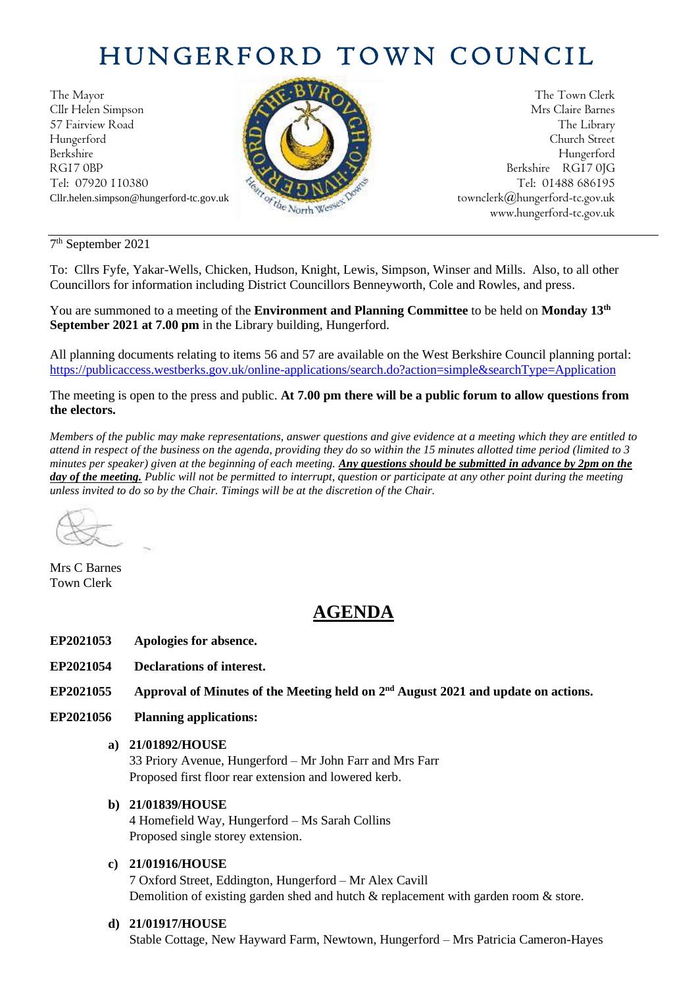# HUNGERFORD TOWN COUNCIL

The Mayor The Town Clerk Cllr Helen Simpson Mrs Claire Barnes 57 Fairview Road The Library (2004) The Library Hungerford Church Street Berkshire Hungerford RG17 0BP Berkshire RG17 0JG Tel: 07920 110380 **Tel: 07920 110380** Tel: 07920 110380



Cllr.helen.simpson@hungerford-tc.gov.uk [townclerk@hungerford-tc.gov.uk](about:blank) townclerk@hungerford-tc.gov.uk www.hungerford-tc.gov.uk [www.hungerford-tc.gov.uk](http://www.hungerford-tc.gov.uk/)

7 th September 2021

To: Cllrs Fyfe, Yakar-Wells, Chicken, Hudson, Knight, Lewis, Simpson, Winser and Mills. Also, to all other Councillors for information including District Councillors Benneyworth, Cole and Rowles, and press.

You are summoned to a meeting of the **Environment and Planning Committee** to be held on **Monday 13th September 2021 at 7.00 pm** in the Library building, Hungerford.

All planning documents relating to items 56 and 57 are available on the West Berkshire Council planning portal: <https://publicaccess.westberks.gov.uk/online-applications/search.do?action=simple&searchType=Application>

The meeting is open to the press and public. **At 7.00 pm there will be a public forum to allow questions from the electors.** 

*Members of the public may make representations, answer questions and give evidence at a meeting which they are entitled to attend in respect of the business on the agenda, providing they do so within the 15 minutes allotted time period (limited to 3 minutes per speaker) given at the beginning of each meeting. Any questions should be submitted in advance by 2pm on the day of the meeting. Public will not be permitted to interrupt, question or participate at any other point during the meeting unless invited to do so by the Chair. Timings will be at the discretion of the Chair.* 

Mrs C Barnes Town Clerk

# **AGENDA**

- **EP2021053 Apologies for absence.**
- **EP2021054 Declarations of interest.**
- EP2021055 Approval of Minutes of the Meeting held on 2<sup>nd</sup> August 2021 and update on actions.
- **EP2021056 Planning applications:**

#### **a) 21/01892/HOUSE**

33 Priory Avenue, Hungerford – Mr John Farr and Mrs Farr Proposed first floor rear extension and lowered kerb.

# **b) 21/01839/HOUSE**

4 Homefield Way, Hungerford – Ms Sarah Collins Proposed single storey extension.

# **c) 21/01916/HOUSE**

7 Oxford Street, Eddington, Hungerford – Mr Alex Cavill Demolition of existing garden shed and hutch & replacement with garden room & store.

# **d) 21/01917/HOUSE**

Stable Cottage, New Hayward Farm, Newtown, Hungerford – Mrs Patricia Cameron-Hayes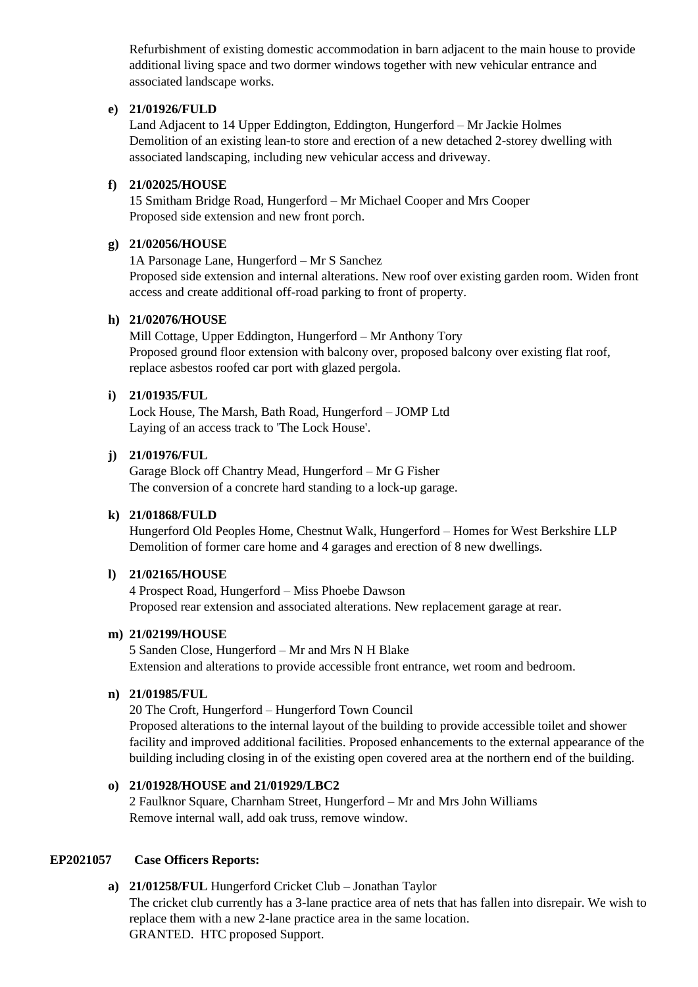Refurbishment of existing domestic accommodation in barn adjacent to the main house to provide additional living space and two dormer windows together with new vehicular entrance and associated landscape works.

#### **e) 21/01926/FULD**

Land Adjacent to 14 Upper Eddington, Eddington, Hungerford – Mr Jackie Holmes Demolition of an existing lean-to store and erection of a new detached 2-storey dwelling with associated landscaping, including new vehicular access and driveway.

# **f) 21/02025/HOUSE**

15 Smitham Bridge Road, Hungerford – Mr Michael Cooper and Mrs Cooper Proposed side extension and new front porch.

# **g) 21/02056/HOUSE**

1A Parsonage Lane, Hungerford – Mr S Sanchez Proposed side extension and internal alterations. New roof over existing garden room. Widen front access and create additional off-road parking to front of property.

# **h) 21/02076/HOUSE**

Mill Cottage, Upper Eddington, Hungerford – Mr Anthony Tory Proposed ground floor extension with balcony over, proposed balcony over existing flat roof, replace asbestos roofed car port with glazed pergola.

# **i) 21/01935/FUL**

Lock House, The Marsh, Bath Road, Hungerford – JOMP Ltd Laying of an access track to 'The Lock House'.

# **j) 21/01976/FUL**

Garage Block off Chantry Mead, Hungerford – Mr G Fisher The conversion of a concrete hard standing to a lock-up garage.

# **k) 21/01868/FULD**

Hungerford Old Peoples Home, Chestnut Walk, Hungerford – Homes for West Berkshire LLP Demolition of former care home and 4 garages and erection of 8 new dwellings.

# **l) 21/02165/HOUSE**

4 Prospect Road, Hungerford – Miss Phoebe Dawson Proposed rear extension and associated alterations. New replacement garage at rear.

# **m) 21/02199/HOUSE**

5 Sanden Close, Hungerford – Mr and Mrs N H Blake Extension and alterations to provide accessible front entrance, wet room and bedroom.

# **n) 21/01985/FUL**

20 The Croft, Hungerford – Hungerford Town Council Proposed alterations to the internal layout of the building to provide accessible toilet and shower facility and improved additional facilities. Proposed enhancements to the external appearance of the building including closing in of the existing open covered area at the northern end of the building.

# **o) 21/01928/HOUSE and 21/01929/LBC2**

2 Faulknor Square, Charnham Street, Hungerford – Mr and Mrs John Williams Remove internal wall, add oak truss, remove window.

# **EP2021057 Case Officers Reports:**

**a) 21/01258/FUL** Hungerford Cricket Club – Jonathan Taylor The cricket club currently has a 3-lane practice area of nets that has fallen into disrepair. We wish to replace them with a new 2-lane practice area in the same location. GRANTED. HTC proposed Support.